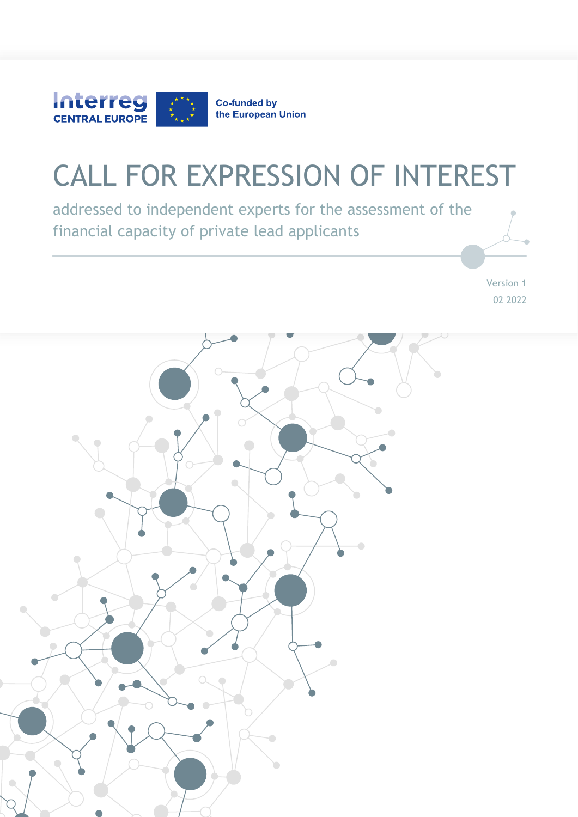

# CALL FOR EXPRESSION OF INTEREST

addressed to independent experts for the assessment of the financial capacity of private lead applicants

> Version 1 02 2022

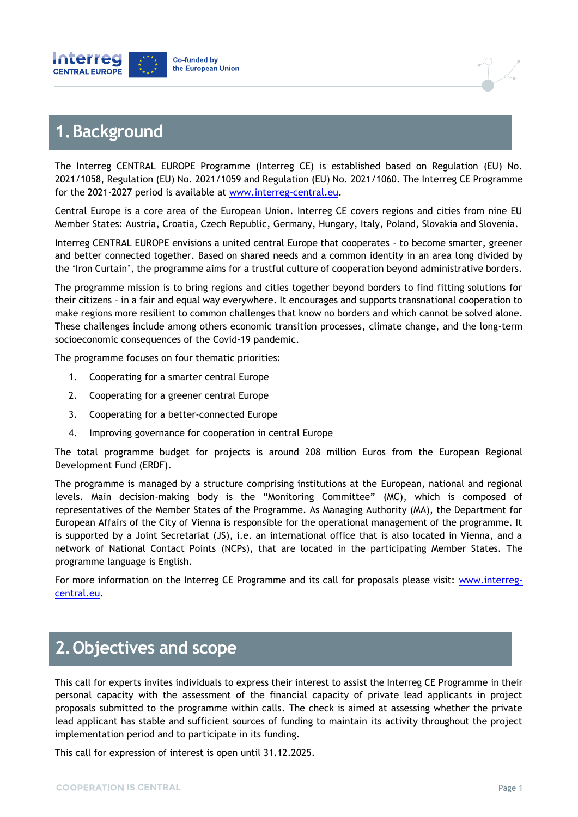



### **1.Background**

The Interreg CENTRAL EUROPE Programme (Interreg CE) is established based on Regulation (EU) No. 2021/1058, Regulation (EU) No. 2021/1059 and Regulation (EU) No. 2021/1060. The Interreg CE Programme for the 2021-2027 period is available at [www.interreg-central.eu.](http://www.interreg-central.eu/)

Central Europe is a core area of the European Union. Interreg CE covers regions and cities from nine EU Member States: Austria, Croatia, Czech Republic, Germany, Hungary, Italy, Poland, Slovakia and Slovenia.

Interreg CENTRAL EUROPE envisions a united central Europe that cooperates - to become smarter, greener and better connected together. Based on shared needs and a common identity in an area long divided by the 'Iron Curtain', the programme aims for a trustful culture of cooperation beyond administrative borders.

The programme mission is to bring regions and cities together beyond borders to find fitting solutions for their citizens – in a fair and equal way everywhere. It encourages and supports transnational cooperation to make regions more resilient to common challenges that know no borders and which cannot be solved alone. These challenges include among others economic transition processes, climate change, and the long-term socioeconomic consequences of the Covid-19 pandemic.

The programme focuses on four thematic priorities:

- 1. Cooperating for a smarter central Europe
- 2. Cooperating for a greener central Europe
- 3. Cooperating for a better-connected Europe
- 4. Improving governance for cooperation in central Europe

The total programme budget for projects is around 208 million Euros from the European Regional Development Fund (ERDF).

The programme is managed by a structure comprising institutions at the European, national and regional levels. Main decision-making body is the "Monitoring Committee" (MC), which is composed of representatives of the Member States of the Programme. As Managing Authority (MA), the Department for European Affairs of the City of Vienna is responsible for the operational management of the programme. It is supported by a Joint Secretariat (JS), i.e. an international office that is also located in Vienna, and a network of National Contact Points (NCPs), that are located in the participating Member States. The programme language is English.

For more information on the Interreg CE Programme and its call for proposals please visit: [www.interreg](http://www.interreg-central.eu/)[central.eu.](http://www.interreg-central.eu/)

# **2.Objectives and scope**

This call for experts invites individuals to express their interest to assist the Interreg CE Programme in their personal capacity with the assessment of the financial capacity of private lead applicants in project proposals submitted to the programme within calls. The check is aimed at assessing whether the private lead applicant has stable and sufficient sources of funding to maintain its activity throughout the project implementation period and to participate in its funding.

This call for expression of interest is open until 31.12.2025.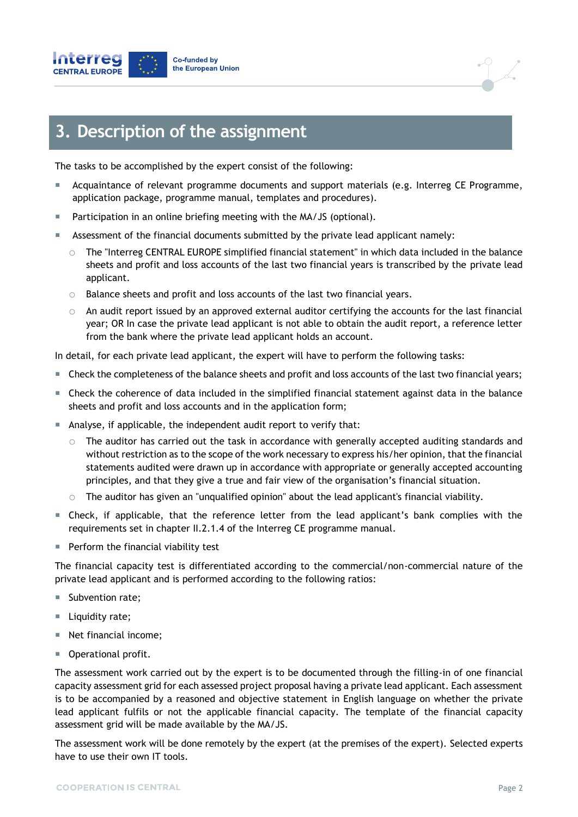



### **3. Description of the assignment**

The tasks to be accomplished by the expert consist of the following:

- Acquaintance of relevant programme documents and support materials (e.g. Interreg CE Programme, application package, programme manual, templates and procedures).
- Participation in an online briefing meeting with the MA/JS (optional).
- Assessment of the financial documents submitted by the private lead applicant namely:
	- $\circ$  The "Interreg CENTRAL EUROPE simplified financial statement" in which data included in the balance sheets and profit and loss accounts of the last two financial years is transcribed by the private lead applicant.
	- o Balance sheets and profit and loss accounts of the last two financial years.
	- $\circ$  An audit report issued by an approved external auditor certifying the accounts for the last financial year; OR In case the private lead applicant is not able to obtain the audit report, a reference letter from the bank where the private lead applicant holds an account.

In detail, for each private lead applicant, the expert will have to perform the following tasks:

- Check the completeness of the balance sheets and profit and loss accounts of the last two financial years;
- Check the coherence of data included in the simplified financial statement against data in the balance sheets and profit and loss accounts and in the application form;
- Analyse, if applicable, the independent audit report to verify that:
	- $\circ$  The auditor has carried out the task in accordance with generally accepted auditing standards and without restriction as to the scope of the work necessary to express his/her opinion, that the financial statements audited were drawn up in accordance with appropriate or generally accepted accounting principles, and that they give a true and fair view of the organisation's financial situation.
	- $\circ$  The auditor has given an "unqualified opinion" about the lead applicant's financial viability.
- Check, if applicable, that the reference letter from the lead applicant's bank complies with the requirements set in chapter II.2.1.4 of the Interreg CE programme manual.
- $\blacksquare$  Perform the financial viability test

The financial capacity test is differentiated according to the commercial/non-commercial nature of the private lead applicant and is performed according to the following ratios:

- Subvention rate;
- Liquidity rate;
- Net financial income;
- **Derational profit.**

The assessment work carried out by the expert is to be documented through the filling-in of one financial capacity assessment grid for each assessed project proposal having a private lead applicant. Each assessment is to be accompanied by a reasoned and objective statement in English language on whether the private lead applicant fulfils or not the applicable financial capacity. The template of the financial capacity assessment grid will be made available by the MA/JS.

The assessment work will be done remotely by the expert (at the premises of the expert). Selected experts have to use their own IT tools.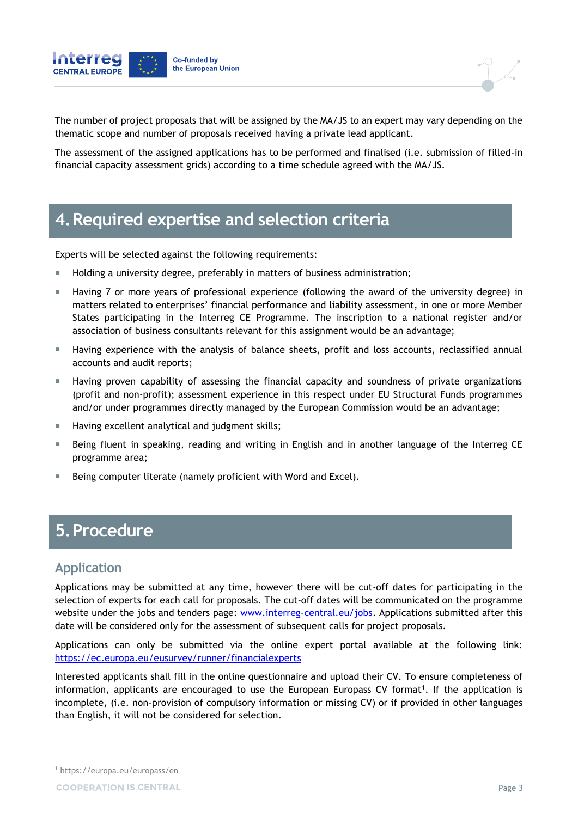

The number of project proposals that will be assigned by the MA/JS to an expert may vary depending on the thematic scope and number of proposals received having a private lead applicant.

The assessment of the assigned applications has to be performed and finalised (i.e. submission of filled-in financial capacity assessment grids) according to a time schedule agreed with the MA/JS.

# **4.Required expertise and selection criteria**

Experts will be selected against the following requirements:

- **Holding a university degree, preferably in matters of business administration;**
- Having 7 or more years of professional experience (following the award of the university degree) in matters related to enterprises' financial performance and liability assessment, in one or more Member States participating in the Interreg CE Programme. The inscription to a national register and/or association of business consultants relevant for this assignment would be an advantage;
- Having experience with the analysis of balance sheets, profit and loss accounts, reclassified annual accounts and audit reports;
- **Having proven capability of assessing the financial capacity and soundness of private organizations** (profit and non-profit); assessment experience in this respect under EU Structural Funds programmes and/or under programmes directly managed by the European Commission would be an advantage;
- Having excellent analytical and judgment skills;
- Being fluent in speaking, reading and writing in English and in another language of the Interreg CE programme area;
- Being computer literate (namely proficient with Word and Excel).

# **5.Procedure**

#### **Application**

Applications may be submitted at any time, however there will be cut-off dates for participating in the selection of experts for each call for proposals. The cut-off dates will be communicated on the programme website under the jobs and tenders page: [www.interreg-central.eu/jobs.](http://www.interreg-central.eu/jobs) Applications submitted after this date will be considered only for the assessment of subsequent calls for project proposals.

Applications can only be submitted via the online expert portal available at the following link: https://ec.europa.eu/eusurvey/runner/financialexperts

Interested applicants shall fill in the online questionnaire and upload their CV. To ensure completeness of information, applicants are encouraged to use the European Europass CV format<sup>1</sup>. If the application is incomplete, (i.e. non-provision of compulsory information or missing CV) or if provided in other languages than English, it will not be considered for selection.

-

<sup>1</sup> https://europa.eu/europass/en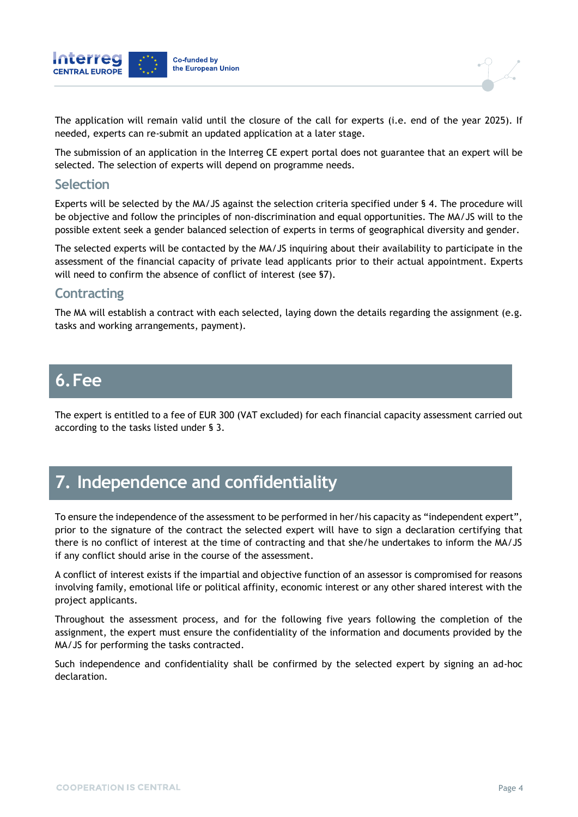



The submission of an application in the Interreg CE expert portal does not guarantee that an expert will be selected. The selection of experts will depend on programme needs.

#### **Selection**

Experts will be selected by the MA/JS against the selection criteria specified under § 4. The procedure will be objective and follow the principles of non-discrimination and equal opportunities. The MA/JS will to the possible extent seek a gender balanced selection of experts in terms of geographical diversity and gender.

The selected experts will be contacted by the MA/JS inquiring about their availability to participate in the assessment of the financial capacity of private lead applicants prior to their actual appointment. Experts will need to confirm the absence of conflict of interest (see §7).

#### **Contracting**

The MA will establish a contract with each selected, laying down the details regarding the assignment (e.g. tasks and working arrangements, payment).

# **6.Fee**

The expert is entitled to a fee of EUR 300 (VAT excluded) for each financial capacity assessment carried out according to the tasks listed under § 3.

# **7. Independence and confidentiality**

To ensure the independence of the assessment to be performed in her/his capacity as "independent expert", prior to the signature of the contract the selected expert will have to sign a declaration certifying that there is no conflict of interest at the time of contracting and that she/he undertakes to inform the MA/JS if any conflict should arise in the course of the assessment.

A conflict of interest exists if the impartial and objective function of an assessor is compromised for reasons involving family, emotional life or political affinity, economic interest or any other shared interest with the project applicants.

Throughout the assessment process, and for the following five years following the completion of the assignment, the expert must ensure the confidentiality of the information and documents provided by the MA/JS for performing the tasks contracted.

Such independence and confidentiality shall be confirmed by the selected expert by signing an ad-hoc declaration.